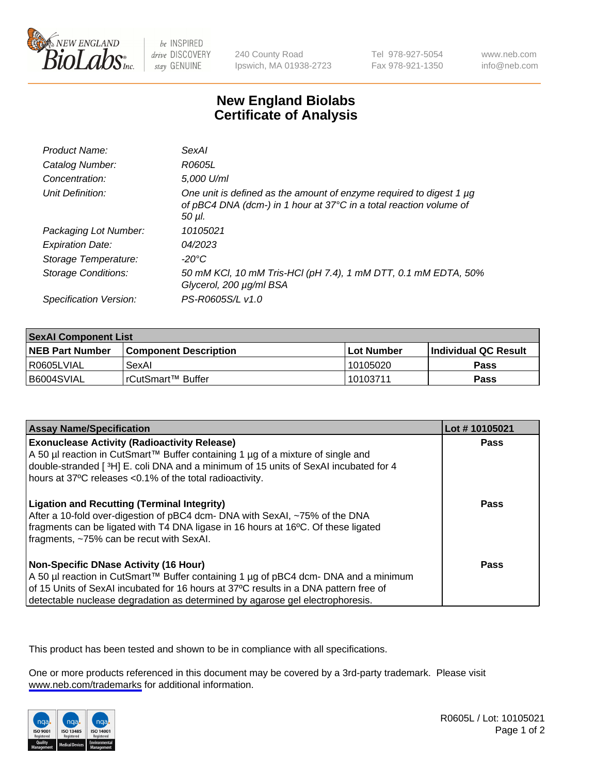

be INSPIRED drive DISCOVERY stay GENUINE

240 County Road Ipswich, MA 01938-2723 Tel 978-927-5054 Fax 978-921-1350

www.neb.com info@neb.com

## **New England Biolabs Certificate of Analysis**

| Product Name:           | SexAl                                                                                                                                               |
|-------------------------|-----------------------------------------------------------------------------------------------------------------------------------------------------|
| Catalog Number:         | R0605L                                                                                                                                              |
| Concentration:          | 5,000 U/ml                                                                                                                                          |
| Unit Definition:        | One unit is defined as the amount of enzyme required to digest 1 µg<br>of pBC4 DNA (dcm-) in 1 hour at 37°C in a total reaction volume of<br>50 µI. |
| Packaging Lot Number:   | 10105021                                                                                                                                            |
| <b>Expiration Date:</b> | 04/2023                                                                                                                                             |
| Storage Temperature:    | -20°C                                                                                                                                               |
| Storage Conditions:     | 50 mM KCl, 10 mM Tris-HCl (pH 7.4), 1 mM DTT, 0.1 mM EDTA, 50%<br>Glycerol, 200 µg/ml BSA                                                           |
| Specification Version:  | PS-R0605S/L v1.0                                                                                                                                    |

| <b>SexAl Component List</b> |                         |              |                             |  |
|-----------------------------|-------------------------|--------------|-----------------------------|--|
| <b>NEB Part Number</b>      | l Component Description | l Lot Number | <b>Individual QC Result</b> |  |
| l R0605LVIAL                | SexAl                   | 10105020     | <b>Pass</b>                 |  |
| I B6004SVIAL                | l rCutSmart™ Buffer     | 10103711     | Pass                        |  |

| <b>Assay Name/Specification</b>                                                                                                                                                                                                                                                                         | Lot #10105021 |
|---------------------------------------------------------------------------------------------------------------------------------------------------------------------------------------------------------------------------------------------------------------------------------------------------------|---------------|
| <b>Exonuclease Activity (Radioactivity Release)</b><br>A 50 µl reaction in CutSmart™ Buffer containing 1 µg of a mixture of single and<br>double-stranded [3H] E. coli DNA and a minimum of 15 units of SexAI incubated for 4<br>hours at 37°C releases <0.1% of the total radioactivity.               | <b>Pass</b>   |
| <b>Ligation and Recutting (Terminal Integrity)</b><br>After a 10-fold over-digestion of pBC4 dcm- DNA with SexAI, ~75% of the DNA<br>fragments can be ligated with T4 DNA ligase in 16 hours at 16°C. Of these ligated<br>fragments, ~75% can be recut with SexAI.                                      | Pass          |
| Non-Specific DNase Activity (16 Hour)<br>  A 50 µl reaction in CutSmart™ Buffer containing 1 µg of pBC4 dcm- DNA and a minimum<br>of 15 Units of SexAI incubated for 16 hours at 37°C results in a DNA pattern free of<br>detectable nuclease degradation as determined by agarose gel electrophoresis. | Pass          |

This product has been tested and shown to be in compliance with all specifications.

One or more products referenced in this document may be covered by a 3rd-party trademark. Please visit <www.neb.com/trademarks>for additional information.